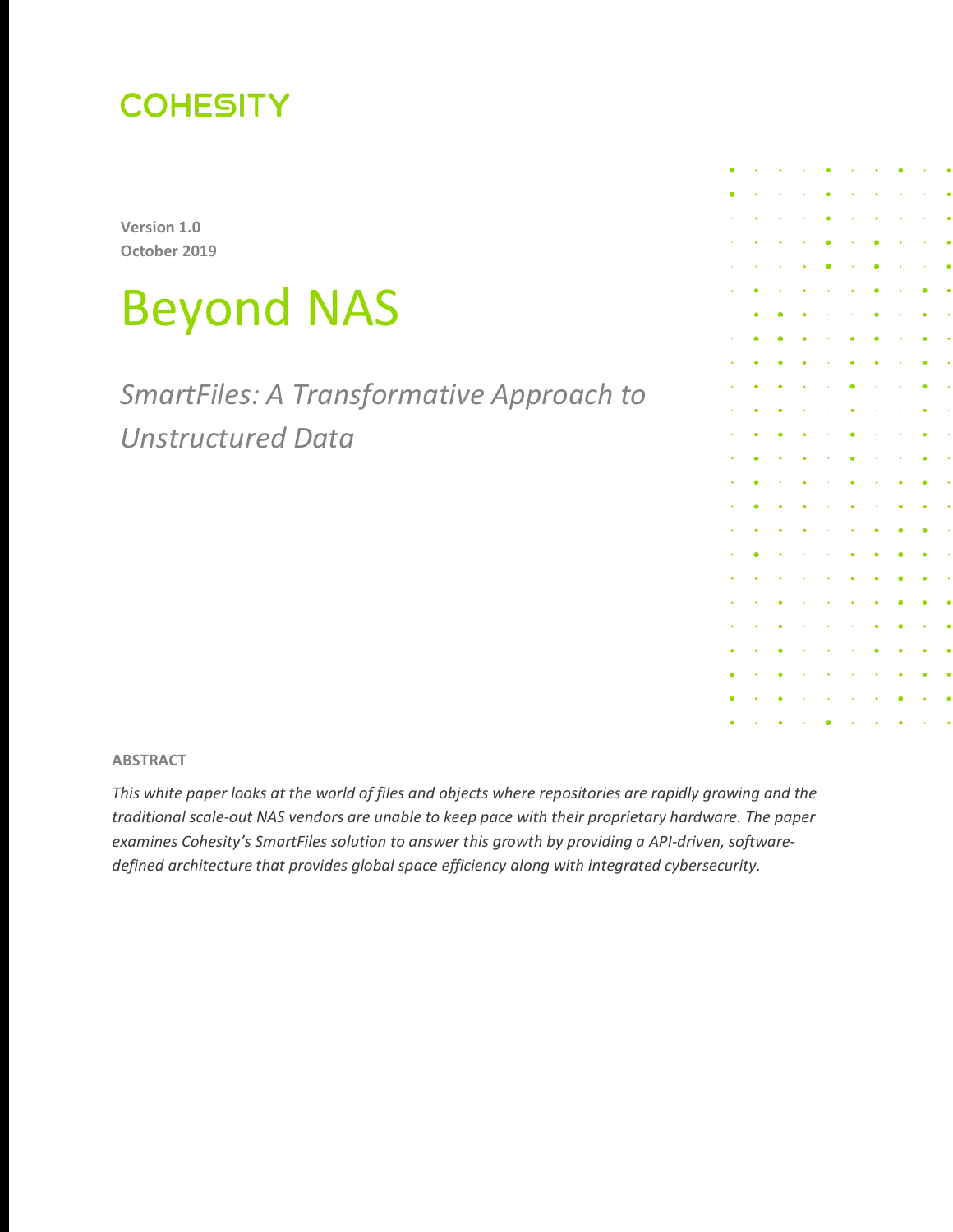

**Version 1.0 October 2019**

# Beyond NAS

*SmartFiles: A Transformative Approach to Unstructured Data*

**ABSTRACT**

*This white paper looks at the world of files and objects where repositories are rapidly growing and the traditional scale-out NAS vendors are unable to keep pace with their proprietary hardware. The paper examines Cohesity's SmartFiles solution to answer this growth by providing a API-driven, softwaredefined architecture that provides global space efficiency along with integrated cybersecurity.*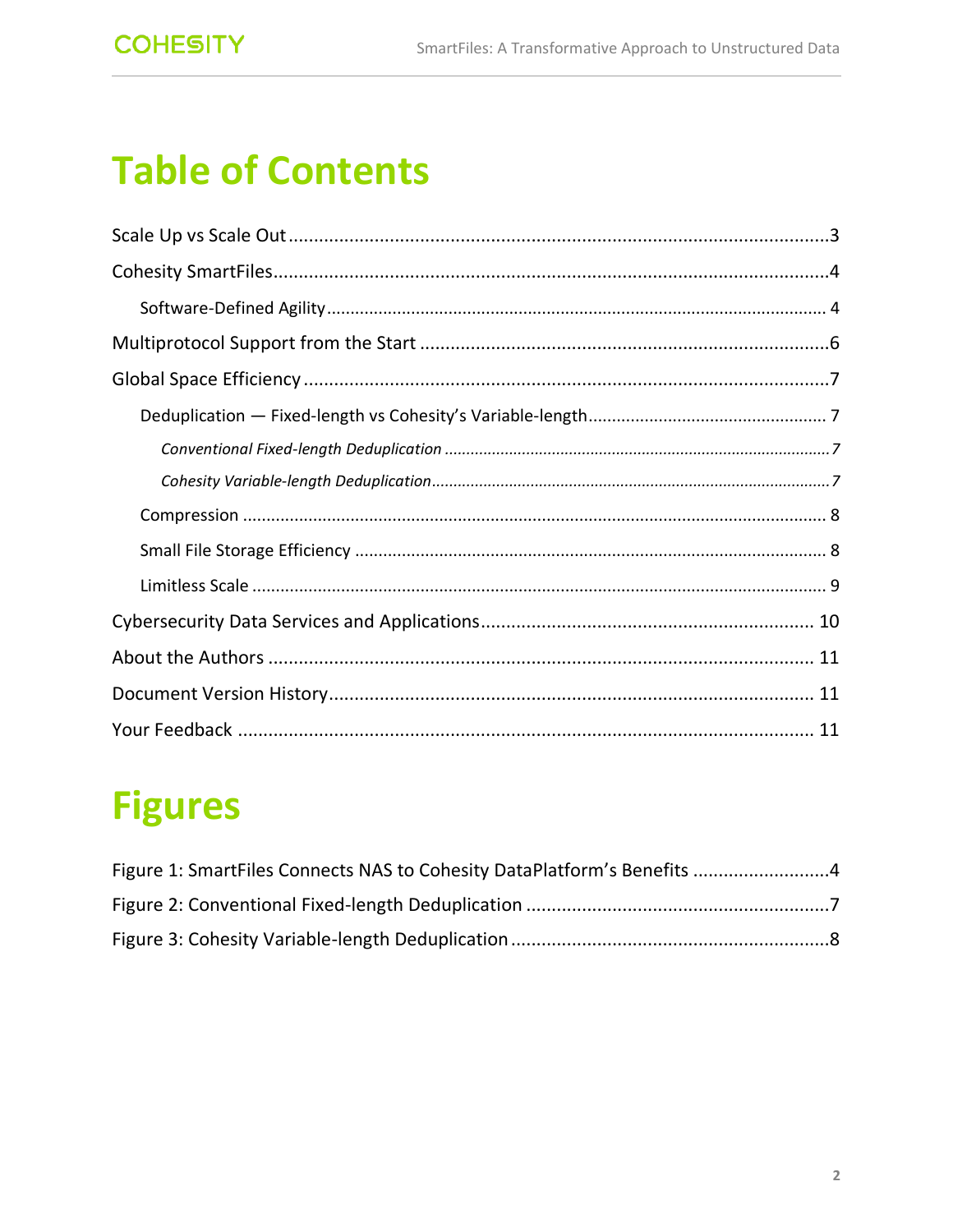# **Table of Contents**

# **Figures**

| Figure 1: SmartFiles Connects NAS to Cohesity DataPlatform's Benefits 4 |  |
|-------------------------------------------------------------------------|--|
|                                                                         |  |
|                                                                         |  |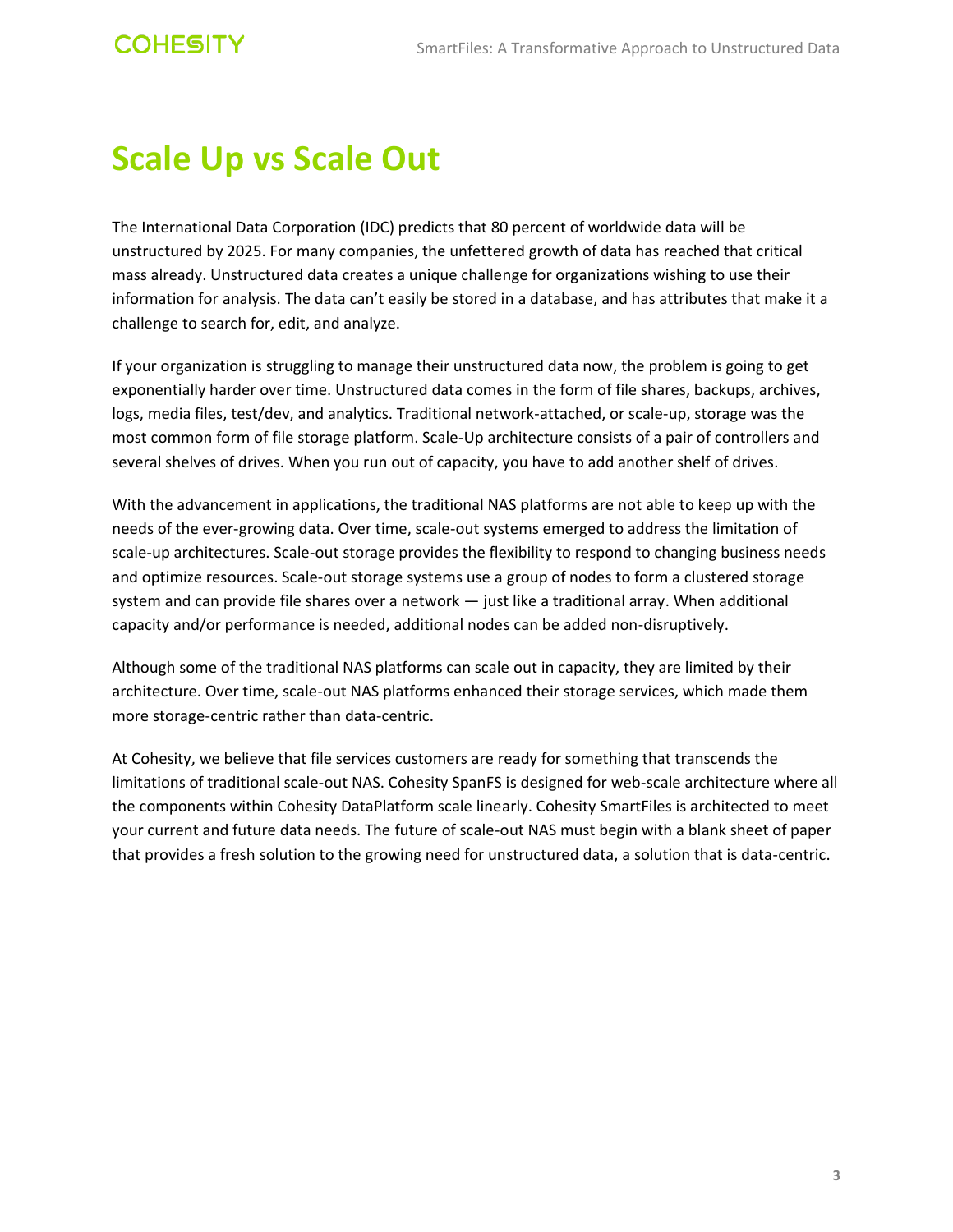### <span id="page-2-0"></span>**Scale Up vs Scale Out**

The International Data Corporation (IDC) predicts that 80 percent of worldwide data will be unstructured by 2025. For many companies, the unfettered growth of data has reached that critical mass already. Unstructured data creates a unique challenge for organizations wishing to use their information for analysis. The data can't easily be stored in a database, and has attributes that make it a challenge to search for, edit, and analyze.

If your organization is struggling to manage their unstructured data now, the problem is going to get exponentially harder over time. Unstructured data comes in the form of file shares, backups, archives, logs, media files, test/dev, and analytics. Traditional network-attached, or scale-up, storage was the most common form of file storage platform. Scale-Up architecture consists of a pair of controllers and several shelves of drives. When you run out of capacity, you have to add another shelf of drives.

With the advancement in applications, the traditional NAS platforms are not able to keep up with the needs of the ever-growing data. Over time, scale-out systems emerged to address the limitation of scale-up architectures. Scale-out storage provides the flexibility to respond to changing business needs and optimize resources. Scale-out storage systems use a group of nodes to form a clustered storage system and can provide file shares over a network — just like a traditional array. When additional capacity and/or performance is needed, additional nodes can be added non-disruptively.

Although some of the traditional NAS platforms can scale out in capacity, they are limited by their architecture. Over time, scale-out NAS platforms enhanced their storage services, which made them more storage-centric rather than data-centric.

At Cohesity, we believe that file services customers are ready for something that transcends the limitations of traditional scale-out NAS. Cohesity SpanFS is designed for web-scale architecture where all the components within Cohesity DataPlatform scale linearly. Cohesity SmartFiles is architected to meet your current and future data needs. The future of scale-out NAS must begin with a blank sheet of paper that provides a fresh solution to the growing need for unstructured data, a solution that is data-centric.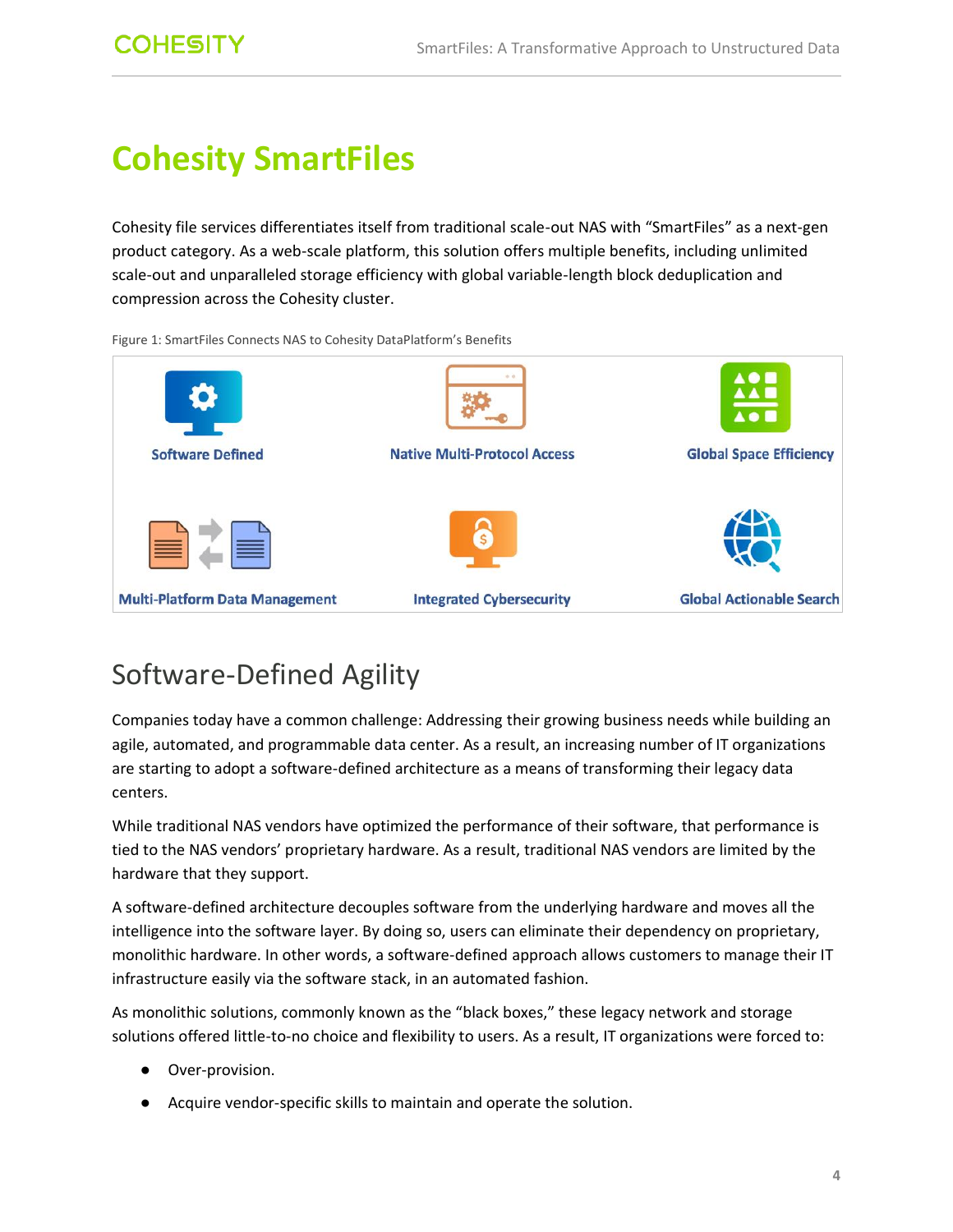## <span id="page-3-0"></span>**Cohesity SmartFiles**

Cohesity file services differentiates itself from traditional scale-out NAS with "SmartFiles" as a next-gen product category. As a web-scale platform, this solution offers multiple benefits, including unlimited scale-out and unparalleled storage efficiency with global variable-length block deduplication and compression across the Cohesity cluster.



<span id="page-3-2"></span>Figure 1: SmartFiles Connects NAS to Cohesity DataPlatform's Benefits

### <span id="page-3-1"></span>Software-Defined Agility

Companies today have a common challenge: Addressing their growing business needs while building an agile, automated, and programmable data center. As a result, an increasing number of IT organizations are starting to adopt a software-defined architecture as a means of transforming their legacy data centers.

While traditional NAS vendors have optimized the performance of their software, that performance is tied to the NAS vendors' proprietary hardware. As a result, traditional NAS vendors are limited by the hardware that they support.

A software-defined architecture decouples software from the underlying hardware and moves all the intelligence into the software layer. By doing so, users can eliminate their dependency on proprietary, monolithic hardware. In other words, a software-defined approach allows customers to manage their IT infrastructure easily via the software stack, in an automated fashion.

As monolithic solutions, commonly known as the "black boxes," these legacy network and storage solutions offered little-to-no choice and flexibility to users. As a result, IT organizations were forced to:

- Over-provision.
- Acquire vendor-specific skills to maintain and operate the solution.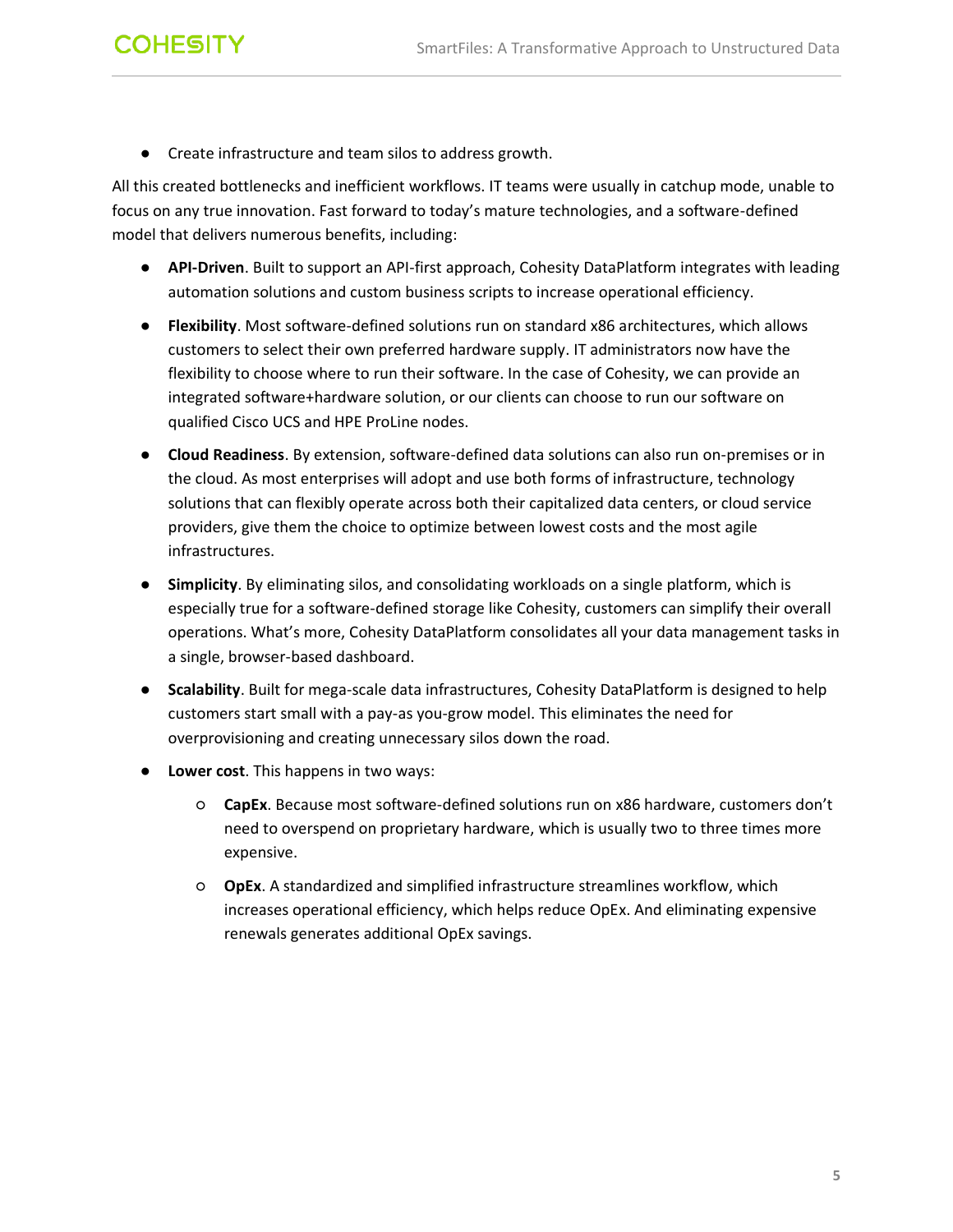- **COHESITY** 
	- Create infrastructure and team silos to address growth.

All this created bottlenecks and inefficient workflows. IT teams were usually in catchup mode, unable to focus on any true innovation. Fast forward to today's mature technologies, and a software-defined model that delivers numerous benefits, including:

- **API-Driven**. Built to support an API-first approach, Cohesity DataPlatform integrates with leading automation solutions and custom business scripts to increase operational efficiency.
- **Flexibility**. Most software-defined solutions run on standard x86 architectures, which allows customers to select their own preferred hardware supply. IT administrators now have the flexibility to choose where to run their software. In the case of Cohesity, we can provide an integrated software+hardware solution, or our clients can choose to run our software on qualified Cisco UCS and HPE ProLine nodes.
- **Cloud Readiness**. By extension, software-defined data solutions can also run on-premises or in the cloud. As most enterprises will adopt and use both forms of infrastructure, technology solutions that can flexibly operate across both their capitalized data centers, or cloud service providers, give them the choice to optimize between lowest costs and the most agile infrastructures.
- **Simplicity**. By eliminating silos, and consolidating workloads on a single platform, which is especially true for a software-defined storage like Cohesity, customers can simplify their overall operations. What's more, Cohesity DataPlatform consolidates all your data management tasks in a single, browser-based dashboard.
- **Scalability**. Built for mega-scale data infrastructures, Cohesity DataPlatform is designed to help customers start small with a pay-as you-grow model. This eliminates the need for overprovisioning and creating unnecessary silos down the road.
- **Lower cost**. This happens in two ways:
	- **CapEx**. Because most software-defined solutions run on x86 hardware, customers don't need to overspend on proprietary hardware, which is usually two to three times more expensive.
	- **OpEx**. A standardized and simplified infrastructure streamlines workflow, which increases operational efficiency, which helps reduce OpEx. And eliminating expensive renewals generates additional OpEx savings.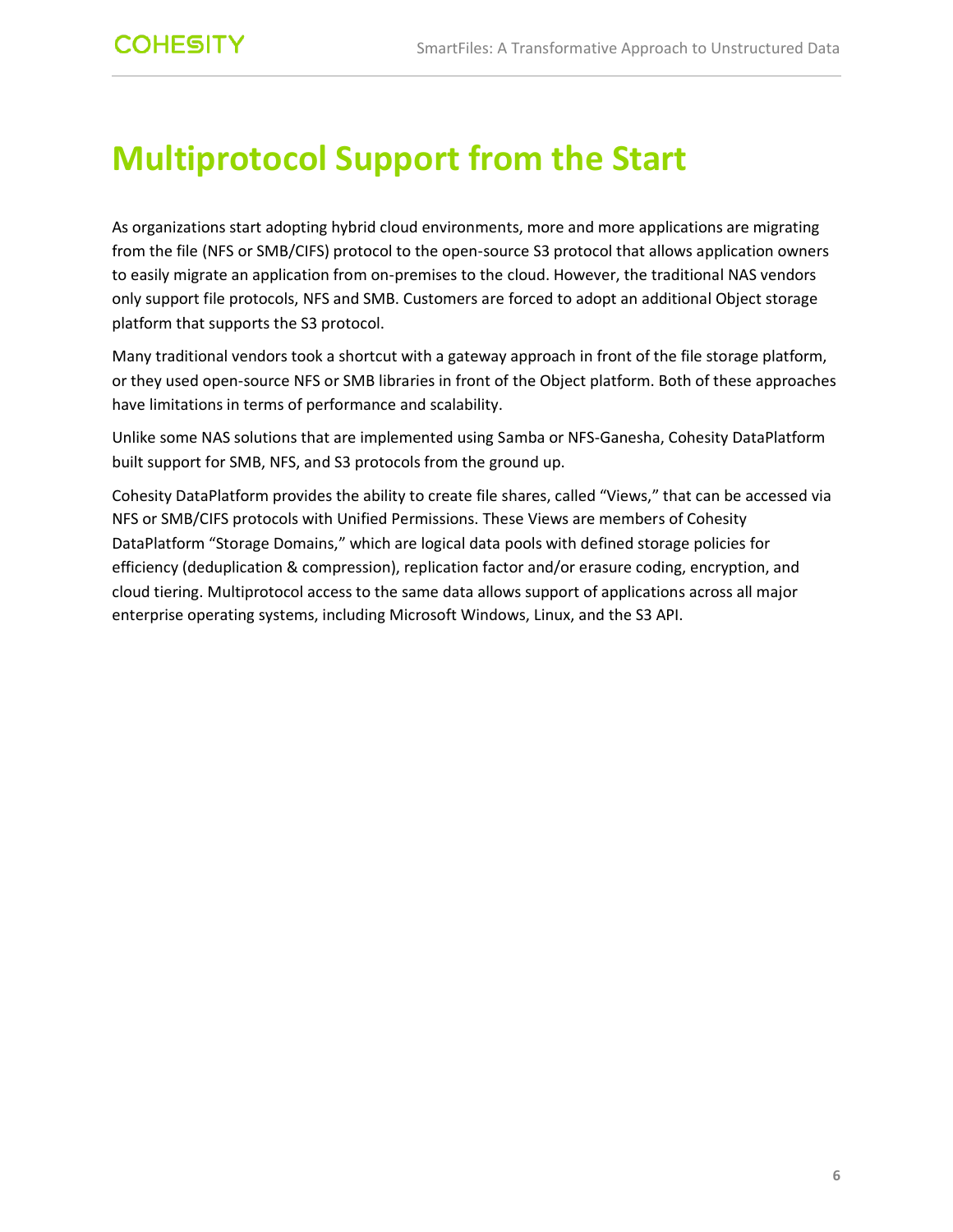## <span id="page-5-0"></span>**Multiprotocol Support from the Start**

As organizations start adopting hybrid cloud environments, more and more applications are migrating from the file (NFS or SMB/CIFS) protocol to the open-source S3 protocol that allows application owners to easily migrate an application from on-premises to the cloud. However, the traditional NAS vendors only support file protocols, NFS and SMB. Customers are forced to adopt an additional Object storage platform that supports the S3 protocol.

Many traditional vendors took a shortcut with a gateway approach in front of the file storage platform, or they used open-source NFS or SMB libraries in front of the Object platform. Both of these approaches have limitations in terms of performance and scalability.

Unlike some NAS solutions that are implemented using Samba or NFS-Ganesha, Cohesity DataPlatform built support for SMB, NFS, and S3 protocols from the ground up.

Cohesity DataPlatform provides the ability to create file shares, called "Views," that can be accessed via NFS or SMB/CIFS protocols with Unified Permissions. These Views are members of Cohesity DataPlatform "Storage Domains," which are logical data pools with defined storage policies for efficiency (deduplication & compression), replication factor and/or erasure coding, encryption, and cloud tiering. Multiprotocol access to the same data allows support of applications across all major enterprise operating systems, including Microsoft Windows, Linux, and the S3 API.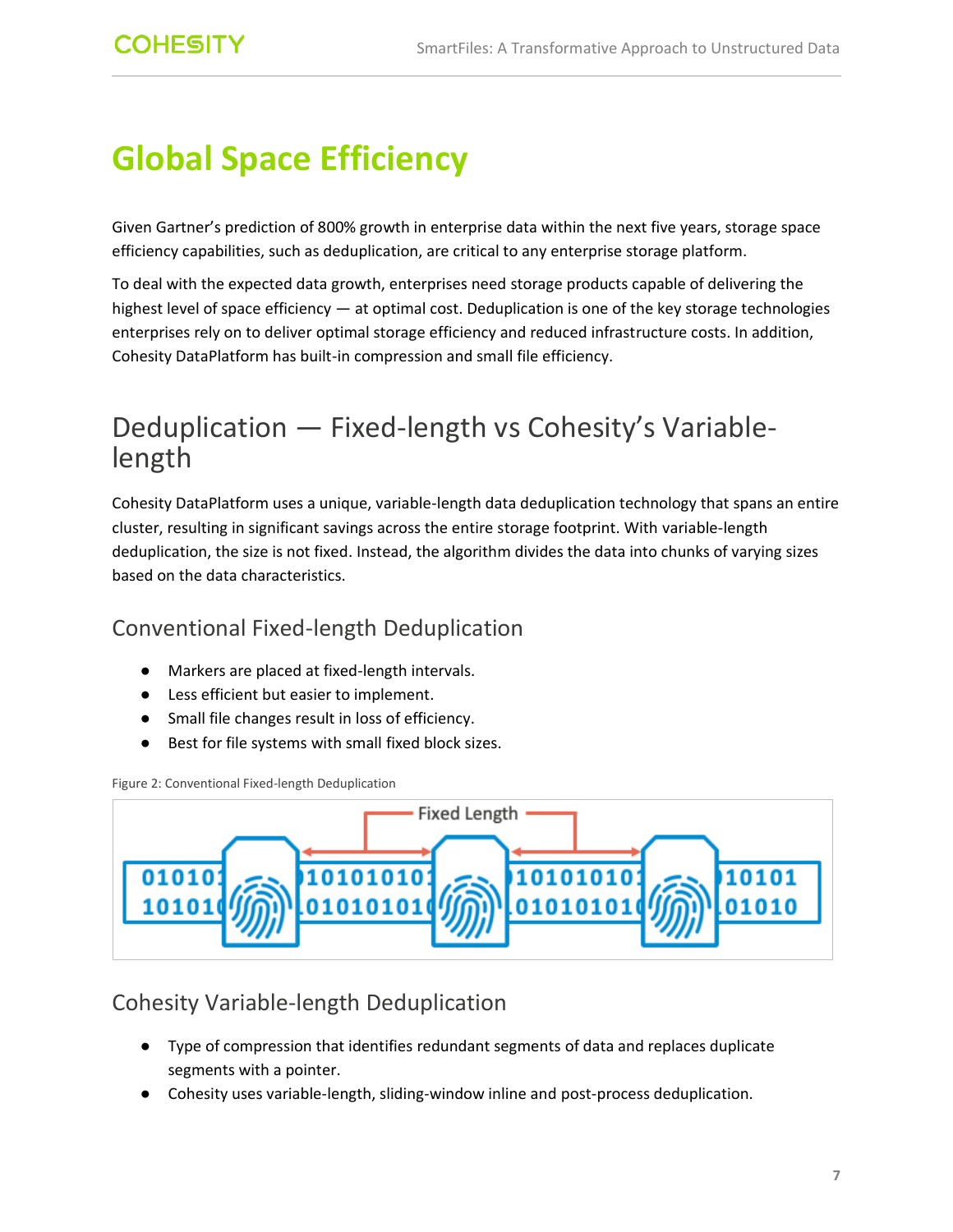# <span id="page-6-0"></span>**Global Space Efficiency**

Given Gartner's prediction of 800% growth in enterprise data within the next five years, storage space efficiency capabilities, such as deduplication, are critical to any enterprise storage platform.

To deal with the expected data growth, enterprises need storage products capable of delivering the highest level of space efficiency — at optimal cost. Deduplication is one of the key storage technologies enterprises rely on to deliver optimal storage efficiency and reduced infrastructure costs. In addition, Cohesity DataPlatform has built-in compression and small file efficiency.

### <span id="page-6-1"></span>Deduplication — Fixed-length vs Cohesity's Variablelength

Cohesity DataPlatform uses a unique, variable-length data deduplication technology that spans an entire cluster, resulting in significant savings across the entire storage footprint. With variable-length deduplication, the size is not fixed. Instead, the algorithm divides the data into chunks of varying sizes based on the data characteristics.

#### <span id="page-6-2"></span>Conventional Fixed-length Deduplication

- Markers are placed at fixed-length intervals.
- Less efficient but easier to implement.
- Small file changes result in loss of efficiency.
- Best for file systems with small fixed block sizes.

<span id="page-6-4"></span>Figure 2: Conventional Fixed-length Deduplication



#### <span id="page-6-3"></span>Cohesity Variable-length Deduplication

- Type of compression that identifies redundant segments of data and replaces duplicate segments with a pointer.
- Cohesity uses variable-length, sliding-window inline and post-process deduplication.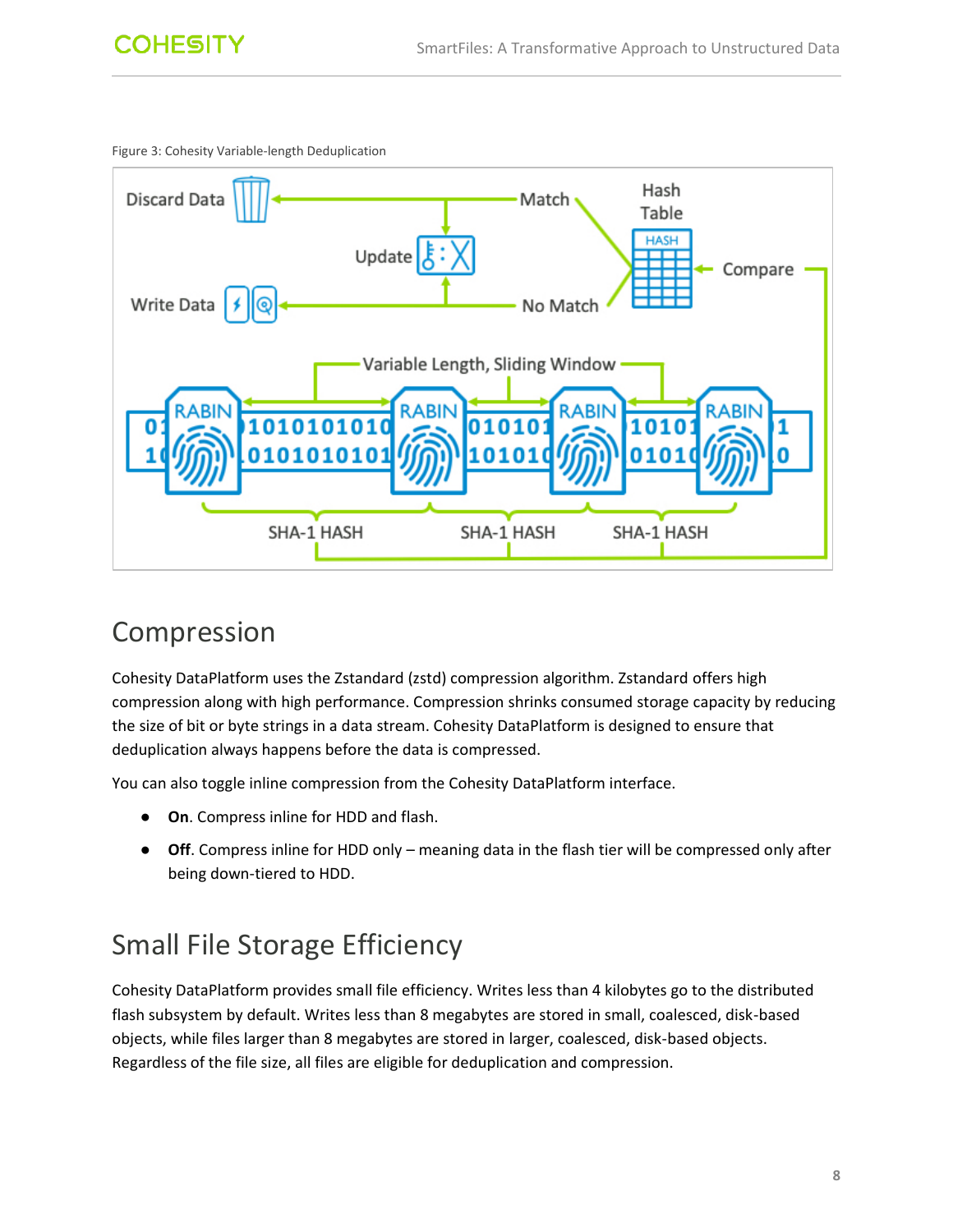<span id="page-7-2"></span>Figure 3: Cohesity Variable-length Deduplication



### <span id="page-7-0"></span>Compression

Cohesity DataPlatform uses the Zstandard (zstd) compression algorithm. Zstandard offers high compression along with high performance. Compression shrinks consumed storage capacity by reducing the size of bit or byte strings in a data stream. Cohesity DataPlatform is designed to ensure that deduplication always happens before the data is compressed.

You can also toggle inline compression from the Cohesity DataPlatform interface.

- **On**. Compress inline for HDD and flash.
- **Off**. Compress inline for HDD only meaning data in the flash tier will be compressed only after being down-tiered to HDD.

### <span id="page-7-1"></span>Small File Storage Efficiency

Cohesity DataPlatform provides small file efficiency. Writes less than 4 kilobytes go to the distributed flash subsystem by default. Writes less than 8 megabytes are stored in small, coalesced, disk-based objects, while files larger than 8 megabytes are stored in larger, coalesced, disk-based objects. Regardless of the file size, all files are eligible for deduplication and compression.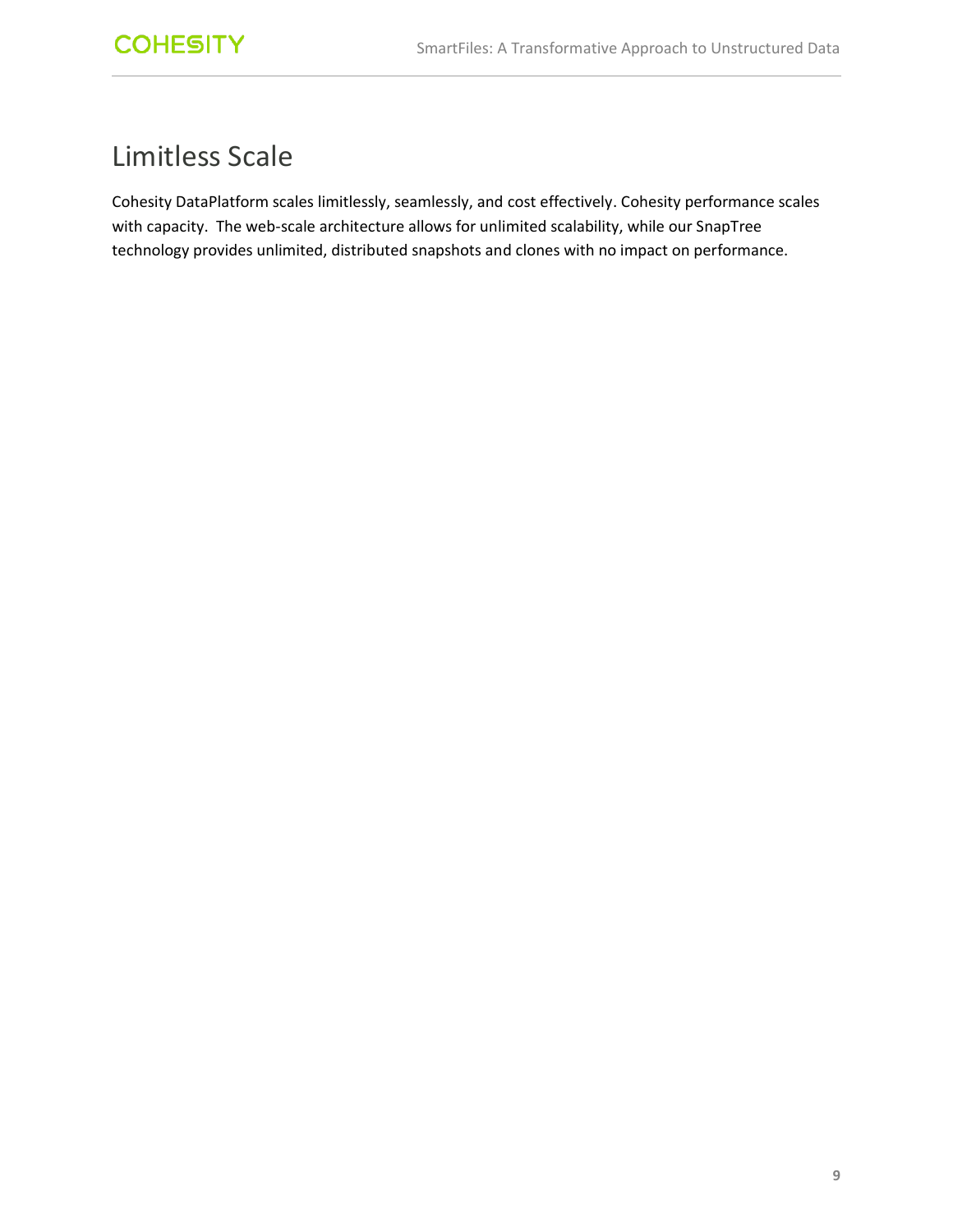### <span id="page-8-0"></span>Limitless Scale

Cohesity DataPlatform scales limitlessly, seamlessly, and cost effectively. Cohesity performance scales with capacity. The web-scale architecture allows for unlimited scalability, while our SnapTree technology provides unlimited, distributed snapshots and clones with no impact on performance.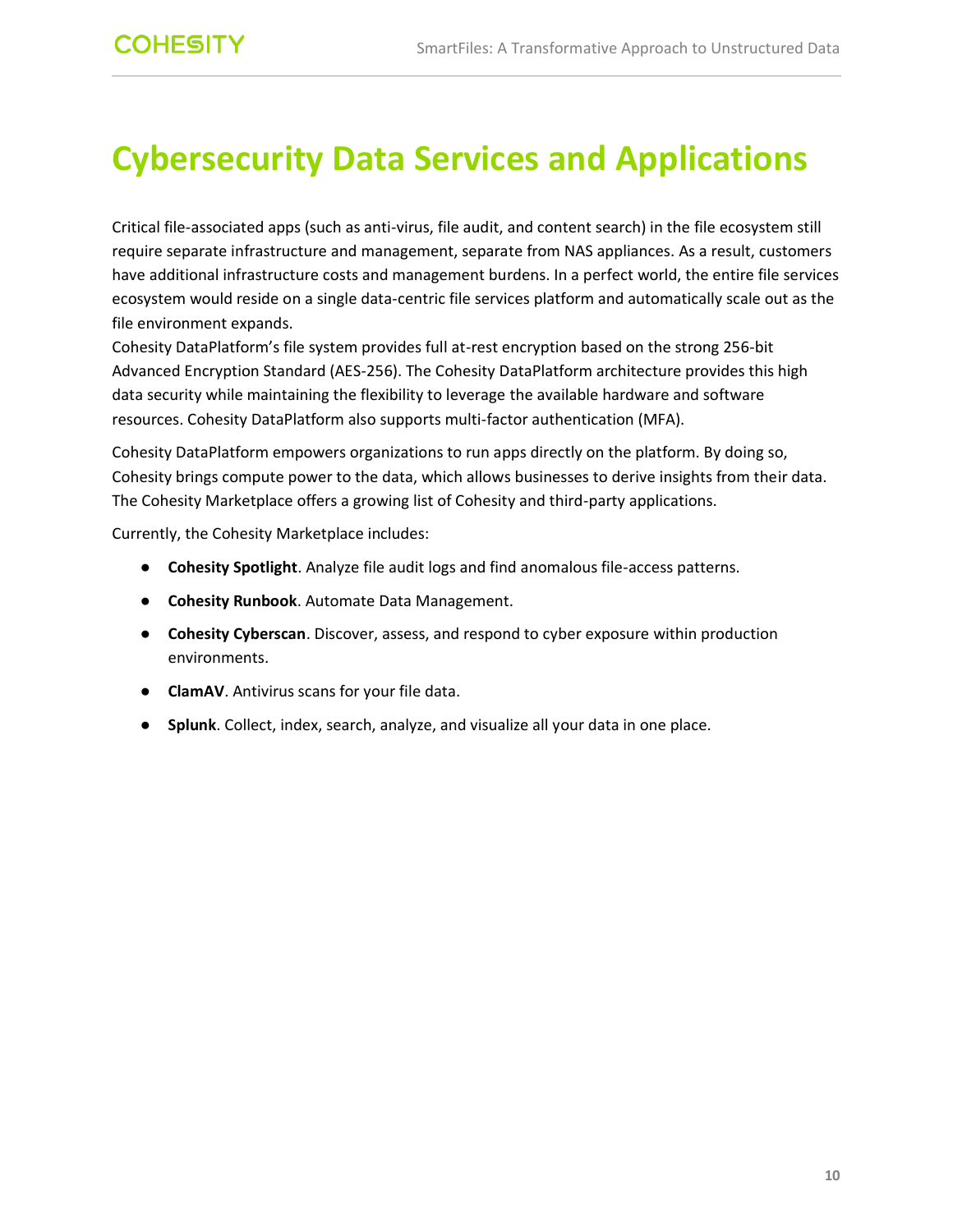# <span id="page-9-0"></span>**Cybersecurity Data Services and Applications**

Critical file-associated apps (such as anti-virus, file audit, and content search) in the file ecosystem still require separate infrastructure and management, separate from NAS appliances. As a result, customers have additional infrastructure costs and management burdens. In a perfect world, the entire file services ecosystem would reside on a single data-centric file services platform and automatically scale out as the file environment expands.

Cohesity DataPlatform's file system provides full at-rest encryption based on the strong 256-bit Advanced Encryption Standard (AES-256). The Cohesity DataPlatform architecture provides this high data security while maintaining the flexibility to leverage the available hardware and software resources. Cohesity DataPlatform also supports multi-factor authentication (MFA).

Cohesity DataPlatform empowers organizations to run apps directly on the platform. By doing so, Cohesity brings compute power to the data, which allows businesses to derive insights from their data. The Cohesity Marketplace offers a growing list of Cohesity and third-party applications.

Currently, the Cohesity Marketplace includes:

- **Cohesity Spotlight**. Analyze file audit logs and find anomalous file-access patterns.
- **Cohesity Runbook**. Automate Data Management.
- **Cohesity Cyberscan**. Discover, assess, and respond to cyber exposure within production environments.
- **ClamAV**. Antivirus scans for your file data.
- **Splunk**. Collect, index, search, analyze, and visualize all your data in one place.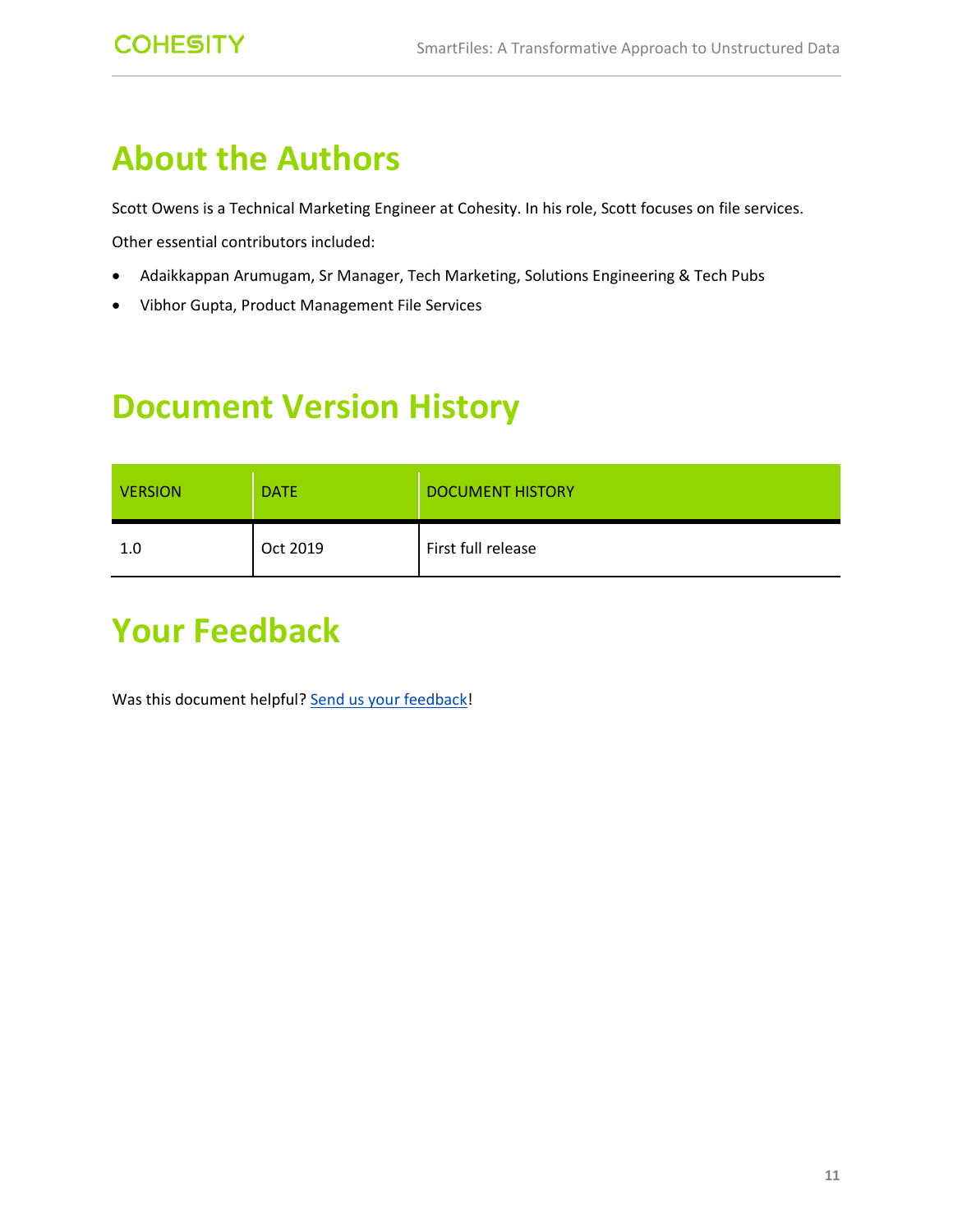## <span id="page-10-0"></span>**About the Authors**

Scott Owens is a Technical Marketing Engineer at Cohesity. In his role, Scott focuses on file services.

Other essential contributors included:

- Adaikkappan Arumugam, Sr Manager, Tech Marketing, Solutions Engineering & Tech Pubs
- Vibhor Gupta, Product Management File Services

## <span id="page-10-1"></span>**Document Version History**

| <b>VERSION</b> | <b>DATE</b> | <b>DOCUMENT HISTORY</b> |
|----------------|-------------|-------------------------|
| 1.0            | Oct 2019    | First full release      |

# <span id="page-10-2"></span>**Your Feedback**

Was this document helpful? [Send us your feedback!](mailto:techguides@cohesity.com?subject=Feedback%20on:%20SmartFiles:%20A%20Transformtive%20Approach%20on%20Unstructured%20Data&body=_______________________________________________________________%0D%0A%0D%0AVersion:%201.0%0D%0A%0D%0ADate:%20October%202019%20%0D%0A%0D%0ASection:%20%0D%0A%0D%0ATable%20Number:%20%0D%0A%0D%0AFigure%20Number:%20%0D%0A%0D%0AFeedback:%20%0D%0A%0D%0A%0D%0A_______________________________________________________________)